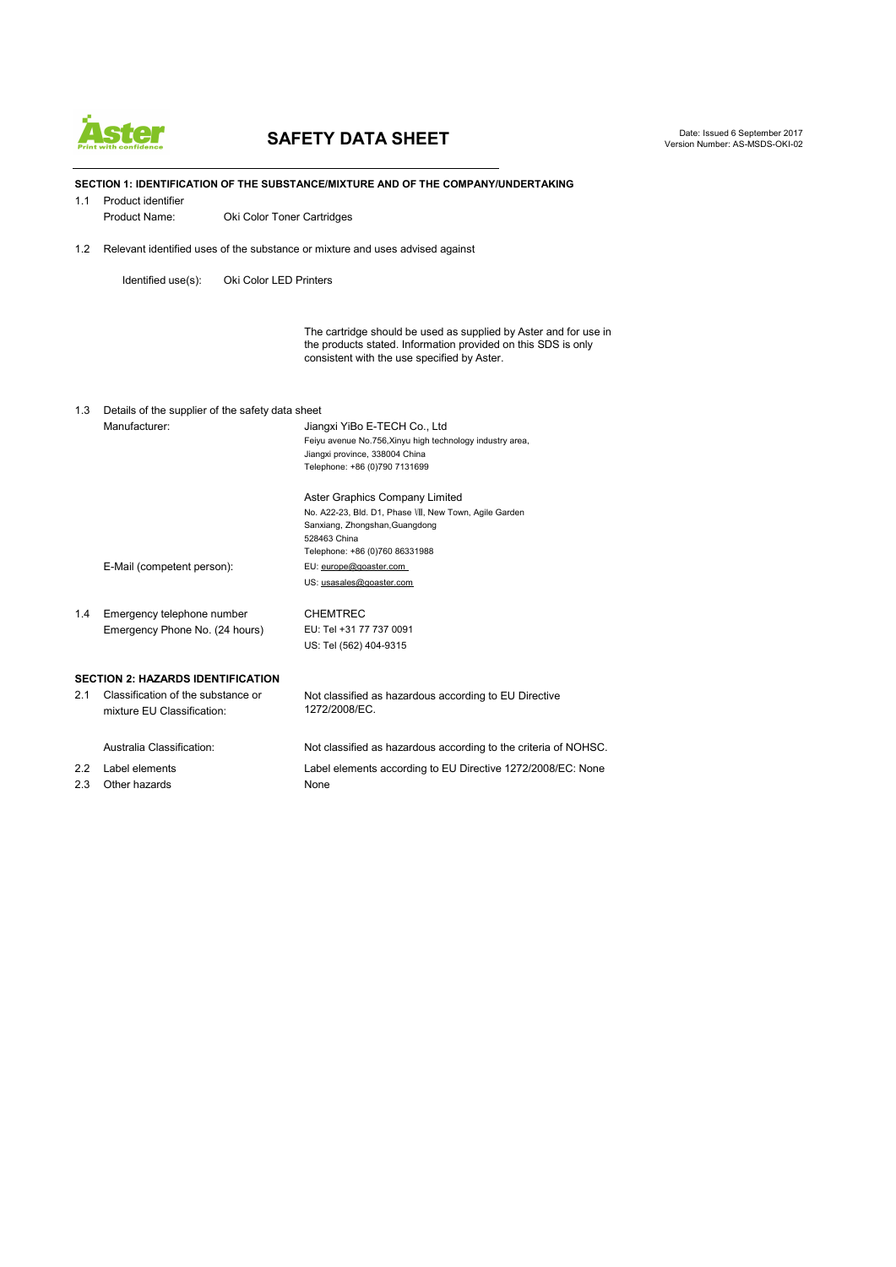

# **SAFETY DATA SHEET**

Date: Issued 6 September 2017 Version Number: AS-MSDS-OKI-02

**SECTION 1: IDENTIFICATION OF THE SUBSTANCE/MIXTURE AND OF THE COMPANY/UNDERTAKING** 1.1 Product identifier Product Name: Oki Color Toner Cartridges 1.2 Relevant identified uses of the substance or mixture and uses advised against Identified use(s): Oki Color LED Printers The cartridge should be used as supplied by Aster and for use in the products stated. Information provided on this SDS is only consistent with the use specified by Aster. 1.3 Details of the supplier of the safety data sheet Manufacturer: Jiangxi YiBo E-TECH Co., Ltd Feiyu avenue No.756,Xinyu high technology industry area, Jiangxi province, 338004 China Telephone: +86 (0)790 7131699 Aster Graphics Company Limited No. A22-23, Bld. D1, Phase Ⅷ, New Town, Agile Garden Sanxiang, Zhongshan,Guangdong 528463 China Telephone: +86 (0)760 86331988 E-Mail (competent person): EU: [europe@](mailto:europe@goaster.com)goaster.com US: usasales@goaster.com 1.4 Emergency telephone number CHEMTREC Emergency Phone No. (24 hours) EU: Tel +31 77 737 0091 US: Tel (562) 404-9315 **SECTION 2: HAZARDS IDENTIFICATION**

2.1 Classification of the substance or<br>
mixture EU Classification: 
1272/2008/EC. mixture EU Classification: Australia Classification: Not classified as hazardous according to the criteria of NOHSC. 2.2 Label elements Label elements according to EU Directive 1272/2008/EC: None

2.3 Other hazards None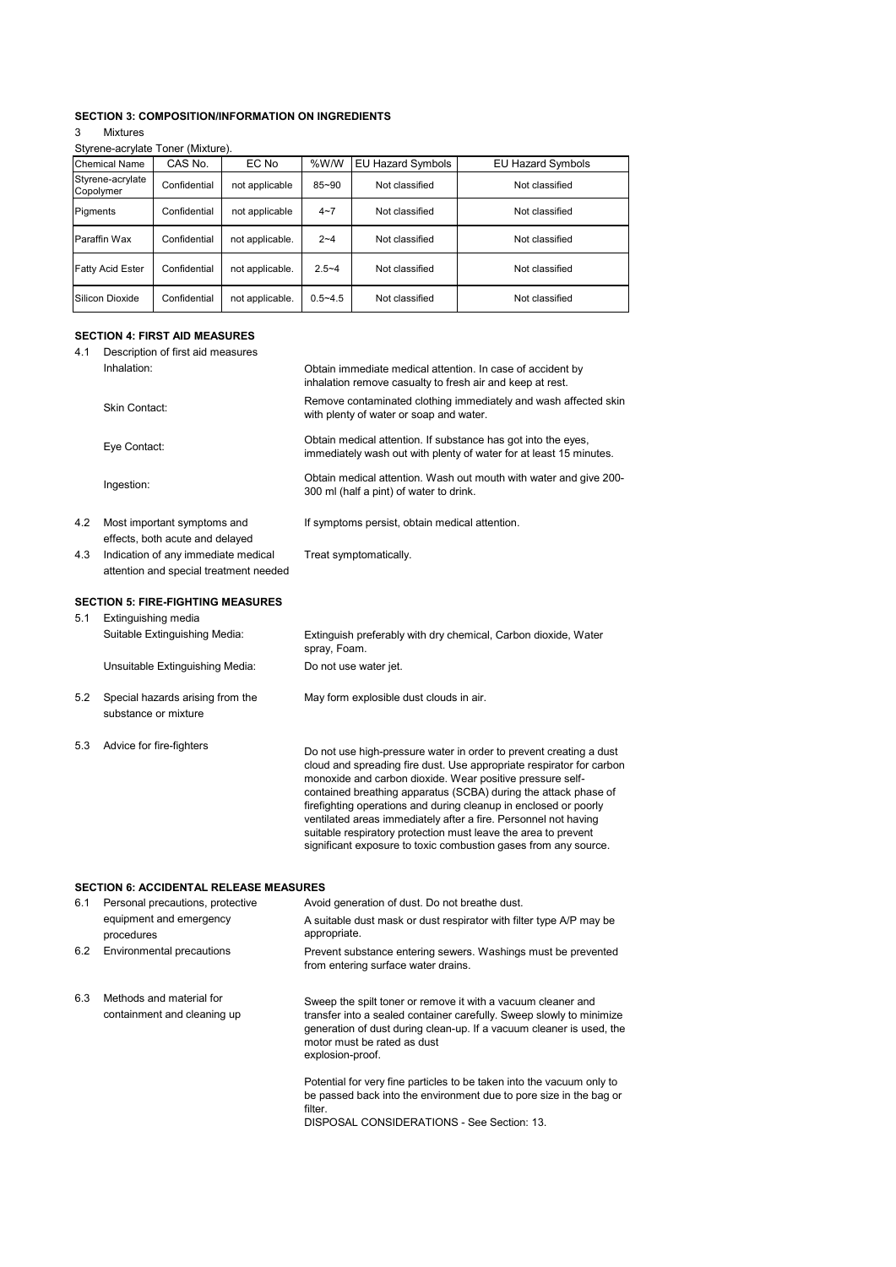## **SECTION 3: COMPOSITION/INFORMATION ON INGREDIENTS**

#### 3 Mixtures Styrene-acrylate Toner (Mixture).

| <b>Chemical Name</b>          | CAS No.      | EC No           | %W/W        | EU Hazard Symbols | <b>EU Hazard Symbols</b> |
|-------------------------------|--------------|-----------------|-------------|-------------------|--------------------------|
| Styrene-acrylate<br>Copolymer | Confidential | not applicable  | $85 - 90$   | Not classified    | Not classified           |
| Pigments                      | Confidential | not applicable  | $4 - 7$     | Not classified    | Not classified           |
| Paraffin Wax                  | Confidential | not applicable. | $2 - 4$     | Not classified    | Not classified           |
| <b>Fatty Acid Ester</b>       | Confidential | not applicable. | $2.5 - 4$   | Not classified    | Not classified           |
| Silicon Dioxide               | Confidential | not applicable. | $0.5 - 4.5$ | Not classified    | Not classified           |

## **SECTION 4: FIRST AID MEASURES**

| 4.1 | Description of first aid measures<br>Inhalation:                                  | Obtain immediate medical attention. In case of accident by<br>inhalation remove casualty to fresh air and keep at rest.                                                                                                                                                                                                                                                                                                                                                                                                                                |
|-----|-----------------------------------------------------------------------------------|--------------------------------------------------------------------------------------------------------------------------------------------------------------------------------------------------------------------------------------------------------------------------------------------------------------------------------------------------------------------------------------------------------------------------------------------------------------------------------------------------------------------------------------------------------|
|     | <b>Skin Contact:</b>                                                              | Remove contaminated clothing immediately and wash affected skin<br>with plenty of water or soap and water.                                                                                                                                                                                                                                                                                                                                                                                                                                             |
|     | Eye Contact:                                                                      | Obtain medical attention. If substance has got into the eyes,<br>immediately wash out with plenty of water for at least 15 minutes.                                                                                                                                                                                                                                                                                                                                                                                                                    |
|     | Ingestion:                                                                        | Obtain medical attention. Wash out mouth with water and give 200-<br>300 ml (half a pint) of water to drink.                                                                                                                                                                                                                                                                                                                                                                                                                                           |
| 4.2 | Most important symptoms and<br>effects, both acute and delayed                    | If symptoms persist, obtain medical attention.                                                                                                                                                                                                                                                                                                                                                                                                                                                                                                         |
|     | 4.3 Indication of any immediate medical<br>attention and special treatment needed | Treat symptomatically.                                                                                                                                                                                                                                                                                                                                                                                                                                                                                                                                 |
| 5.1 | <b>SECTION 5: FIRE-FIGHTING MEASURES</b><br>Extinguishing media                   |                                                                                                                                                                                                                                                                                                                                                                                                                                                                                                                                                        |
|     | Suitable Extinguishing Media:                                                     | Extinguish preferably with dry chemical, Carbon dioxide, Water<br>spray, Foam.                                                                                                                                                                                                                                                                                                                                                                                                                                                                         |
|     | Unsuitable Extinguishing Media:                                                   | Do not use water jet.                                                                                                                                                                                                                                                                                                                                                                                                                                                                                                                                  |
| 5.2 | Special hazards arising from the<br>substance or mixture                          | May form explosible dust clouds in air.                                                                                                                                                                                                                                                                                                                                                                                                                                                                                                                |
| 5.3 | Advice for fire-fighters                                                          | Do not use high-pressure water in order to prevent creating a dust<br>cloud and spreading fire dust. Use appropriate respirator for carbon<br>monoxide and carbon dioxide. Wear positive pressure self-<br>contained breathing apparatus (SCBA) during the attack phase of<br>firefighting operations and during cleanup in enclosed or poorly<br>ventilated areas immediately after a fire. Personnel not having<br>suitable respiratory protection must leave the area to prevent<br>significant exposure to toxic combustion gases from any source. |
|     | <b>SECTION 6: ACCIDENTAL RELEASE MEASURES</b>                                     |                                                                                                                                                                                                                                                                                                                                                                                                                                                                                                                                                        |
| 6.1 | Personal precautions, protective                                                  | Avoid generation of dust. Do not breathe dust.                                                                                                                                                                                                                                                                                                                                                                                                                                                                                                         |
|     | equipment and emergency<br>procedures                                             | A suitable dust mask or dust respirator with filter type A/P may be<br>appropriate.                                                                                                                                                                                                                                                                                                                                                                                                                                                                    |
| 6.2 | Environmental precautions                                                         | Prevent substance entering sewers. Washings must be prevented<br>from entering surface water drains.                                                                                                                                                                                                                                                                                                                                                                                                                                                   |
| 6.3 | Methods and material for<br>containment and cleaning up                           | Sweep the spilt toner or remove it with a vacuum cleaner and<br>transfer into a sealed container carefully. Sweep slowly to minimize<br>generation of dust during clean-up. If a vacuum cleaner is used, the<br>motor must be rated as dust<br>explosion-proof.                                                                                                                                                                                                                                                                                        |
|     |                                                                                   | Potential for very fine particles to be taken into the vacuum only to<br>be passed back into the environment due to pore size in the bag or                                                                                                                                                                                                                                                                                                                                                                                                            |

be passed back<br>filter.

DISPOSAL CONSIDERATIONS - See Section: 13.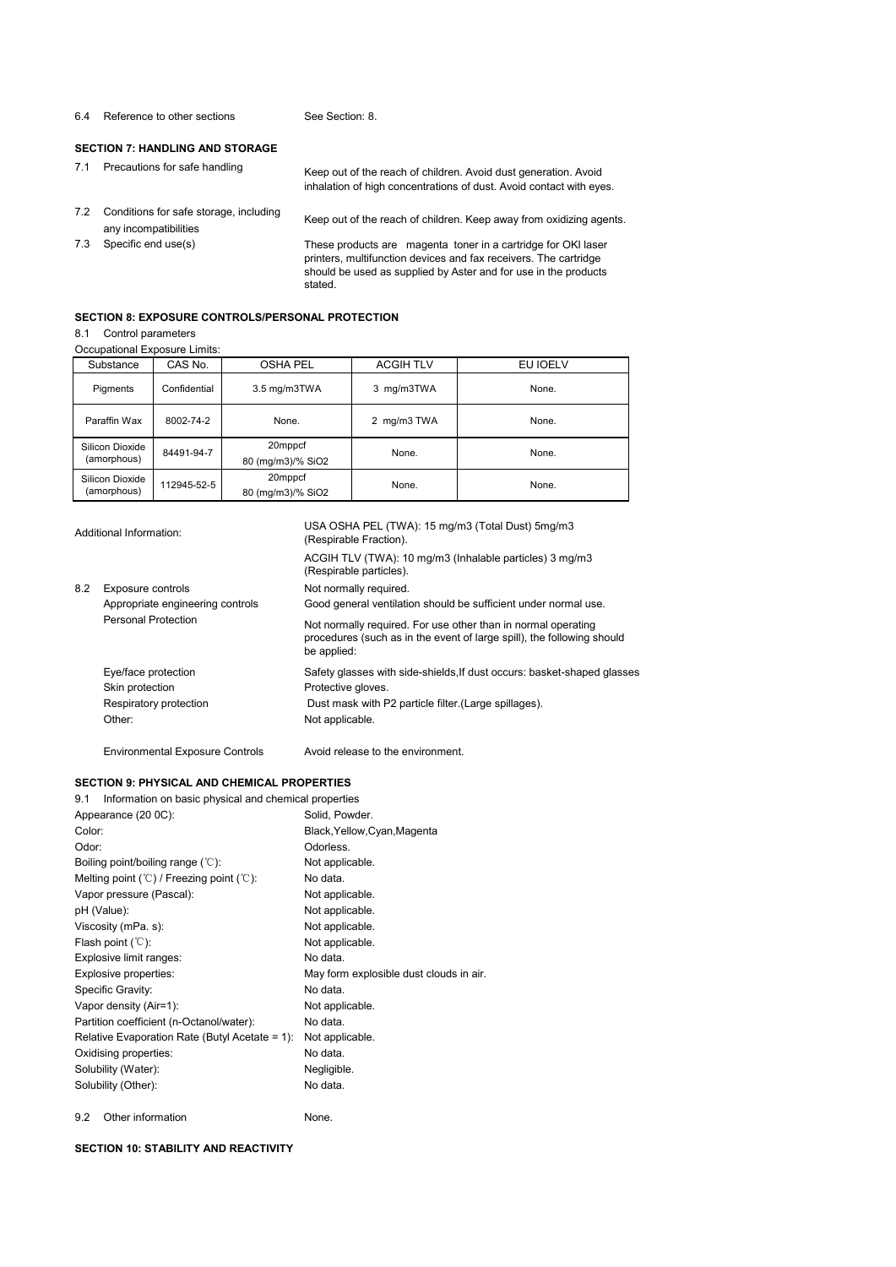#### 6.4 Reference to other sections See Section: 8.

#### **SECTION 7: HANDLING AND STORAGE**

7.1 Precautions for safe handling Keep out of the reach of children. Avoid dust generation. Avoid inhalation of high concentrations of dust. Avoid contact with eyes.

- 7.2 Conditions for safe storage, including Keep out of the reach of children. Keep away from oxidizing agents.<br>any incompatibilities
- 
- 

7.3 Specific end use(s) These products are magenta toner in a cartridge for OKI laser printers, multifunction devices and faxreceivers. The cartridge should be used as supplied by Aster and for use in the products stated.

#### **SECTION 8: EXPOSURE CONTROLS/PERSONAL PROTECTION**

#### 8.1 Control parameters

Occupational Exposure Limits:

| Substance                      | CAS No.      | <b>OSHA PEL</b>              | <b>ACGIH TLV</b> | EU IOELV |
|--------------------------------|--------------|------------------------------|------------------|----------|
| Pigments                       | Confidential | 3.5 mg/m3TWA                 | 3 mg/m3TWA       | None.    |
| Paraffin Wax                   | 8002-74-2    | None.                        | 2 mg/m3 TWA      | None.    |
| Silicon Dioxide<br>(amorphous) | 84491-94-7   | 20mppcf<br>80 (mg/m3)/% SiO2 | None.            | None.    |
| Silicon Dioxide<br>(amorphous) | 112945-52-5  | 20mppcf<br>80 (mg/m3)/% SiO2 | None.            | None.    |

| Additional Information: |                                        | USA OSHA PEL (TWA): 15 mg/m3 (Total Dust) 5mg/m3<br>(Respirable Fraction).                                                                             |  |  |
|-------------------------|----------------------------------------|--------------------------------------------------------------------------------------------------------------------------------------------------------|--|--|
|                         |                                        | ACGIH TLV (TWA): 10 mg/m3 (Inhalable particles) 3 mg/m3<br>(Respirable particles).                                                                     |  |  |
| 8.2                     | Exposure controls                      | Not normally required.                                                                                                                                 |  |  |
|                         | Appropriate engineering controls       | Good general ventilation should be sufficient under normal use.                                                                                        |  |  |
|                         | Personal Protection                    | Not normally required. For use other than in normal operating<br>procedures (such as in the event of large spill), the following should<br>be applied: |  |  |
|                         | Eye/face protection                    | Safety glasses with side-shields, If dust occurs: basket-shaped glasses                                                                                |  |  |
|                         | Skin protection                        | Protective gloves.                                                                                                                                     |  |  |
|                         | Respiratory protection                 | Dust mask with P2 particle filter (Large spillages).                                                                                                   |  |  |
|                         | Other:                                 | Not applicable.                                                                                                                                        |  |  |
|                         | <b>Environmental Exposure Controls</b> | Avoid release to the environment.                                                                                                                      |  |  |

## **SECTION 9: PHYSICAL AND CHEMICAL PROPERTIES**

9.1 Information on basic physical and chemical propertie

| 9.1 Information on basic privsical and chemical properties       |                                         |
|------------------------------------------------------------------|-----------------------------------------|
| Appearance (20 0C):                                              | Solid, Powder.                          |
| Color:                                                           | Black, Yellow, Cyan, Magenta            |
| Odor:                                                            | Odorless.                               |
| Boiling point/boiling range $(°C)$ :                             | Not applicable.                         |
| Melting point $(\mathcal{C})$ / Freezing point $(\mathcal{C})$ : | No data.                                |
| Vapor pressure (Pascal):                                         | Not applicable.                         |
| pH (Value):                                                      | Not applicable.                         |
| Viscosity (mPa. s):                                              | Not applicable.                         |
| Flash point $({\mathbb C})$ :                                    | Not applicable.                         |
| Explosive limit ranges:                                          | No data.                                |
| Explosive properties:                                            | May form explosible dust clouds in air. |
| Specific Gravity:                                                | No data.                                |
| Vapor density (Air=1):                                           | Not applicable.                         |
| Partition coefficient (n-Octanol/water):                         | No data.                                |
| Relative Evaporation Rate (Butyl Acetate = 1):                   | Not applicable.                         |
| Oxidising properties:                                            | No data.                                |
| Solubility (Water):                                              | Negligible.                             |
| Solubility (Other):                                              | No data.                                |
|                                                                  |                                         |

9.2 Other information None.

#### **SECTION 10: STABILITY AND REACTIVITY**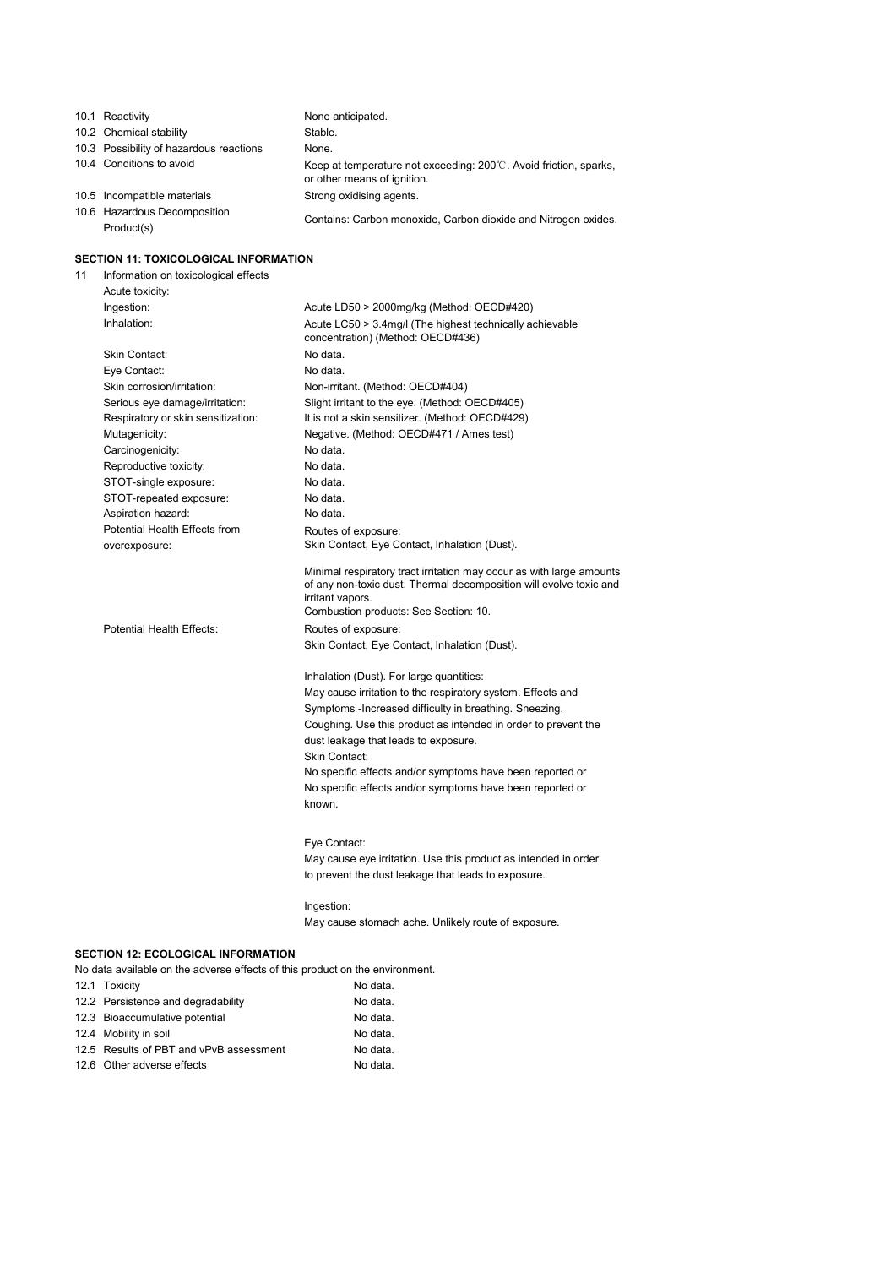|    | 10.1 Reactivity                                                              | None anticipated.                                                                                                                                                                                       |
|----|------------------------------------------------------------------------------|---------------------------------------------------------------------------------------------------------------------------------------------------------------------------------------------------------|
|    | 10.2 Chemical stability                                                      | Stable.                                                                                                                                                                                                 |
|    | 10.3 Possibility of hazardous reactions                                      | None.                                                                                                                                                                                                   |
|    | 10.4 Conditions to avoid                                                     | Keep at temperature not exceeding: $200^{\circ}$ . Avoid friction, sparks,<br>or other means of ignition.                                                                                               |
|    | 10.5 Incompatible materials                                                  | Strong oxidising agents.                                                                                                                                                                                |
|    | 10.6 Hazardous Decomposition                                                 |                                                                                                                                                                                                         |
|    | Product(s)                                                                   | Contains: Carbon monoxide, Carbon dioxide and Nitrogen oxides.                                                                                                                                          |
|    | <b>SECTION 11: TOXICOLOGICAL INFORMATION</b>                                 |                                                                                                                                                                                                         |
| 11 | Information on toxicological effects<br>Acute toxicity:                      |                                                                                                                                                                                                         |
|    | Ingestion:                                                                   | Acute LD50 > 2000mg/kg (Method: OECD#420)                                                                                                                                                               |
|    | Inhalation:                                                                  | Acute LC50 > 3.4mg/l (The highest technically achievable<br>concentration) (Method: OECD#436)                                                                                                           |
|    | Skin Contact:                                                                | No data.                                                                                                                                                                                                |
|    | Eye Contact:                                                                 | No data.                                                                                                                                                                                                |
|    | Skin corrosion/irritation:                                                   | Non-irritant. (Method: OECD#404)                                                                                                                                                                        |
|    | Serious eye damage/irritation:                                               | Slight irritant to the eye. (Method: OECD#405)                                                                                                                                                          |
|    | Respiratory or skin sensitization:                                           | It is not a skin sensitizer. (Method: OECD#429)                                                                                                                                                         |
|    | Mutagenicity:                                                                | Negative. (Method: OECD#471 / Ames test)                                                                                                                                                                |
|    | Carcinogenicity:                                                             | No data.                                                                                                                                                                                                |
|    | Reproductive toxicity:                                                       | No data.                                                                                                                                                                                                |
|    | STOT-single exposure:                                                        | No data.                                                                                                                                                                                                |
|    | STOT-repeated exposure:                                                      | No data.                                                                                                                                                                                                |
|    | Aspiration hazard:                                                           | No data.                                                                                                                                                                                                |
|    | Potential Health Effects from                                                | Routes of exposure:                                                                                                                                                                                     |
|    | overexposure:                                                                | Skin Contact, Eye Contact, Inhalation (Dust).                                                                                                                                                           |
|    |                                                                              | Minimal respiratory tract irritation may occur as with large amounts<br>of any non-toxic dust. Thermal decomposition will evolve toxic and<br>irritant vapors.<br>Combustion products: See Section: 10. |
|    | Potential Health Effects:                                                    | Routes of exposure:                                                                                                                                                                                     |
|    |                                                                              | Skin Contact, Eye Contact, Inhalation (Dust).                                                                                                                                                           |
|    |                                                                              | Inhalation (Dust). For large quantities:                                                                                                                                                                |
|    |                                                                              | May cause irritation to the respiratory system. Effects and                                                                                                                                             |
|    |                                                                              | Symptoms - Increased difficulty in breathing. Sneezing.                                                                                                                                                 |
|    |                                                                              | Coughing. Use this product as intended in order to prevent the                                                                                                                                          |
|    |                                                                              | dust leakage that leads to exposure.                                                                                                                                                                    |
|    |                                                                              | <b>Skin Contact:</b>                                                                                                                                                                                    |
|    |                                                                              | No specific effects and/or symptoms have been reported or                                                                                                                                               |
|    |                                                                              | No specific effects and/or symptoms have been reported or                                                                                                                                               |
|    |                                                                              | known.                                                                                                                                                                                                  |
|    |                                                                              | Eye Contact:                                                                                                                                                                                            |
|    |                                                                              | May cause eye irritation. Use this product as intended in order                                                                                                                                         |
|    |                                                                              | to prevent the dust leakage that leads to exposure.                                                                                                                                                     |
|    |                                                                              | Ingestion:                                                                                                                                                                                              |
|    |                                                                              | May cause stomach ache. Unlikely route of exposure.                                                                                                                                                     |
|    | <b>SECTION 12: ECOLOGICAL INFORMATION</b>                                    |                                                                                                                                                                                                         |
|    | No data available on the adverse effects of this product on the environment. |                                                                                                                                                                                                         |
|    | 12.1 Toxicity                                                                | No data.                                                                                                                                                                                                |
|    | 12.2 Persistence and degradability                                           | No data.                                                                                                                                                                                                |
|    | 12.3 Bioaccumulative potential                                               | No data.                                                                                                                                                                                                |
|    | 12.4 Mobility in soil                                                        | No data.                                                                                                                                                                                                |
|    | 12.5 Results of PBT and vPvB assessment                                      | No data.                                                                                                                                                                                                |
|    | 12.6 Other adverse effects                                                   | No data.                                                                                                                                                                                                |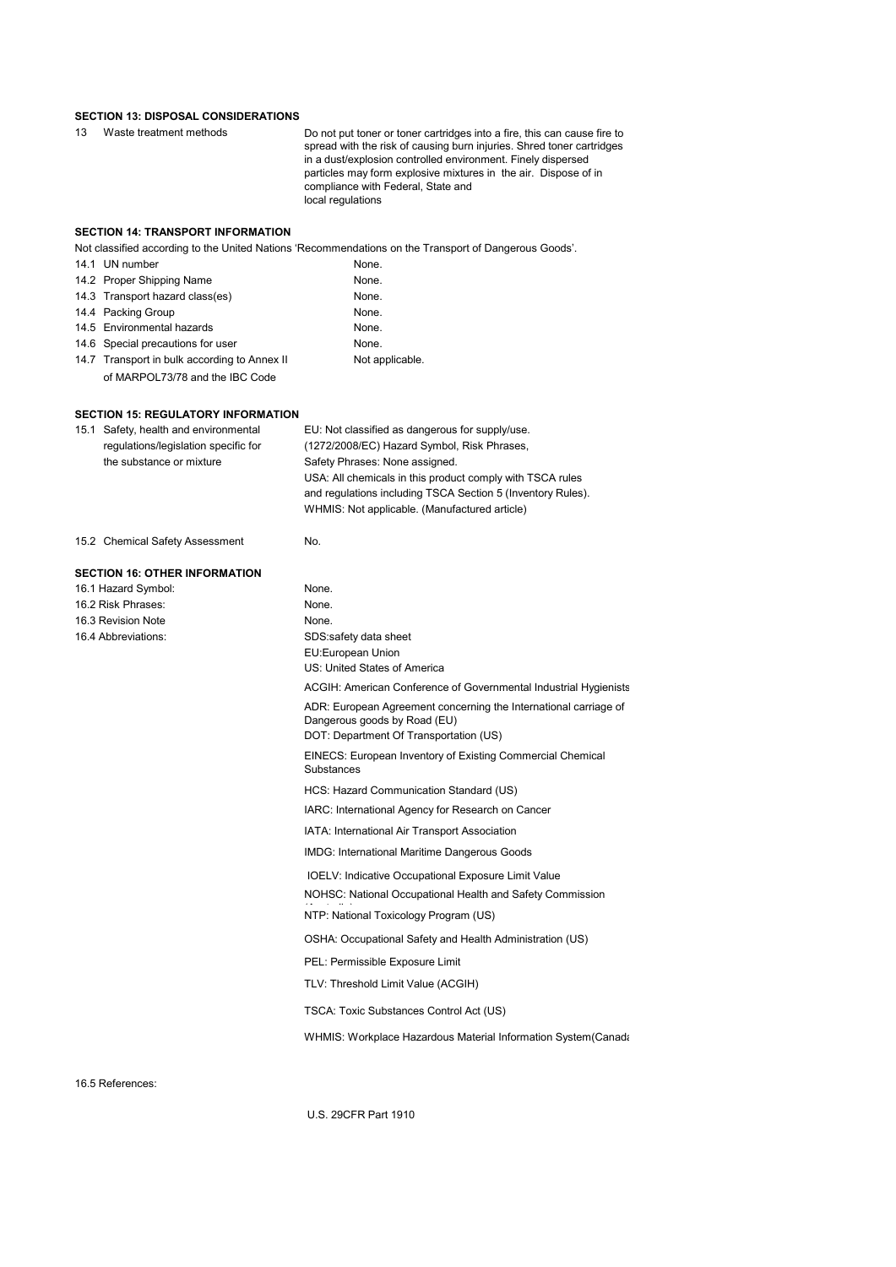#### **SECTION 13: DISPOSAL CONSIDERATIONS**

| 13 Waste treatment methods | Do not put toner or toner cartridges into a fire, this can cause fire to |
|----------------------------|--------------------------------------------------------------------------|
|                            | spread with the risk of causing burn injuries. Shred toner cartridges    |
|                            |                                                                          |

spread with the risk of causing burn injuries. Shred toner cartridges in a dust/explosion controlled environment. Finely dispersed particles may form explosive mixtures in the air. Dispose of in compliance with Federal, State and local regulations

#### **SECTION 14: TRANSPORT INFORMATION**

Not classified according to the United Nations 'Recommendations on the Transport of Dangerous Goods'.

| 14.1 UN number                               | None.           |
|----------------------------------------------|-----------------|
| 14.2 Proper Shipping Name                    | None.           |
| 14.3 Transport hazard class(es)              | None.           |
| 14.4 Packing Group                           | None.           |
| 14.5 Environmental hazards                   | None.           |
| 14.6 Special precautions for user            | None.           |
| 14.7 Transport in bulk according to Annex II | Not applicable. |
| of MARPOL73/78 and the IBC Code              |                 |

#### **SECTION 15: REGULATORY INFORMATION**

| 15.1 Safety, health and environmental<br>regulations/legislation specific for<br>the substance or mixture | EU: Not classified as dangerous for supply/use.<br>(1272/2008/EC) Hazard Symbol, Risk Phrases,<br>Safety Phrases: None assigned. |  |  |  |
|-----------------------------------------------------------------------------------------------------------|----------------------------------------------------------------------------------------------------------------------------------|--|--|--|
|                                                                                                           | USA: All chemicals in this product comply with TSCA rules                                                                        |  |  |  |
|                                                                                                           | and regulations including TSCA Section 5 (Inventory Rules).                                                                      |  |  |  |
|                                                                                                           | WHMIS: Not applicable. (Manufactured article)                                                                                    |  |  |  |
|                                                                                                           |                                                                                                                                  |  |  |  |
| 15.2 Chemical Safety Assessment                                                                           | No.                                                                                                                              |  |  |  |
| <b>SECTION 16: OTHER INFORMATION</b>                                                                      |                                                                                                                                  |  |  |  |
| 16.1 Hazard Symbol:                                                                                       | None.                                                                                                                            |  |  |  |
| 16.2 Risk Phrases:                                                                                        | None.                                                                                                                            |  |  |  |
| 16.3 Revision Note                                                                                        | None.                                                                                                                            |  |  |  |
| 16.4 Abbreviations:                                                                                       | SDS:safety data sheet                                                                                                            |  |  |  |
|                                                                                                           | EU:European Union                                                                                                                |  |  |  |
|                                                                                                           | US: United States of America                                                                                                     |  |  |  |
|                                                                                                           | ACGIH: American Conference of Governmental Industrial Hygienists                                                                 |  |  |  |
|                                                                                                           | ADR: European Agreement concerning the International carriage of                                                                 |  |  |  |
|                                                                                                           | Dangerous goods by Road (EU)                                                                                                     |  |  |  |
|                                                                                                           | DOT: Department Of Transportation (US)                                                                                           |  |  |  |
|                                                                                                           | EINECS: European Inventory of Existing Commercial Chemical<br>Substances                                                         |  |  |  |
|                                                                                                           | HCS: Hazard Communication Standard (US)                                                                                          |  |  |  |
|                                                                                                           | IARC: International Agency for Research on Cancer                                                                                |  |  |  |
|                                                                                                           | IATA: International Air Transport Association                                                                                    |  |  |  |
|                                                                                                           | IMDG: International Maritime Dangerous Goods                                                                                     |  |  |  |
|                                                                                                           | IOELV: Indicative Occupational Exposure Limit Value                                                                              |  |  |  |
|                                                                                                           | NOHSC: National Occupational Health and Safety Commission                                                                        |  |  |  |
|                                                                                                           | NTP: National Toxicology Program (US)                                                                                            |  |  |  |
|                                                                                                           | OSHA: Occupational Safety and Health Administration (US)                                                                         |  |  |  |
|                                                                                                           | PEL: Permissible Exposure Limit                                                                                                  |  |  |  |
|                                                                                                           | TLV: Threshold Limit Value (ACGIH)                                                                                               |  |  |  |
|                                                                                                           | TSCA: Toxic Substances Control Act (US)                                                                                          |  |  |  |
|                                                                                                           | WHMIS: Workplace Hazardous Material Information System (Canada                                                                   |  |  |  |
|                                                                                                           |                                                                                                                                  |  |  |  |

16.5 References:

U.S. 29CFR Part 1910